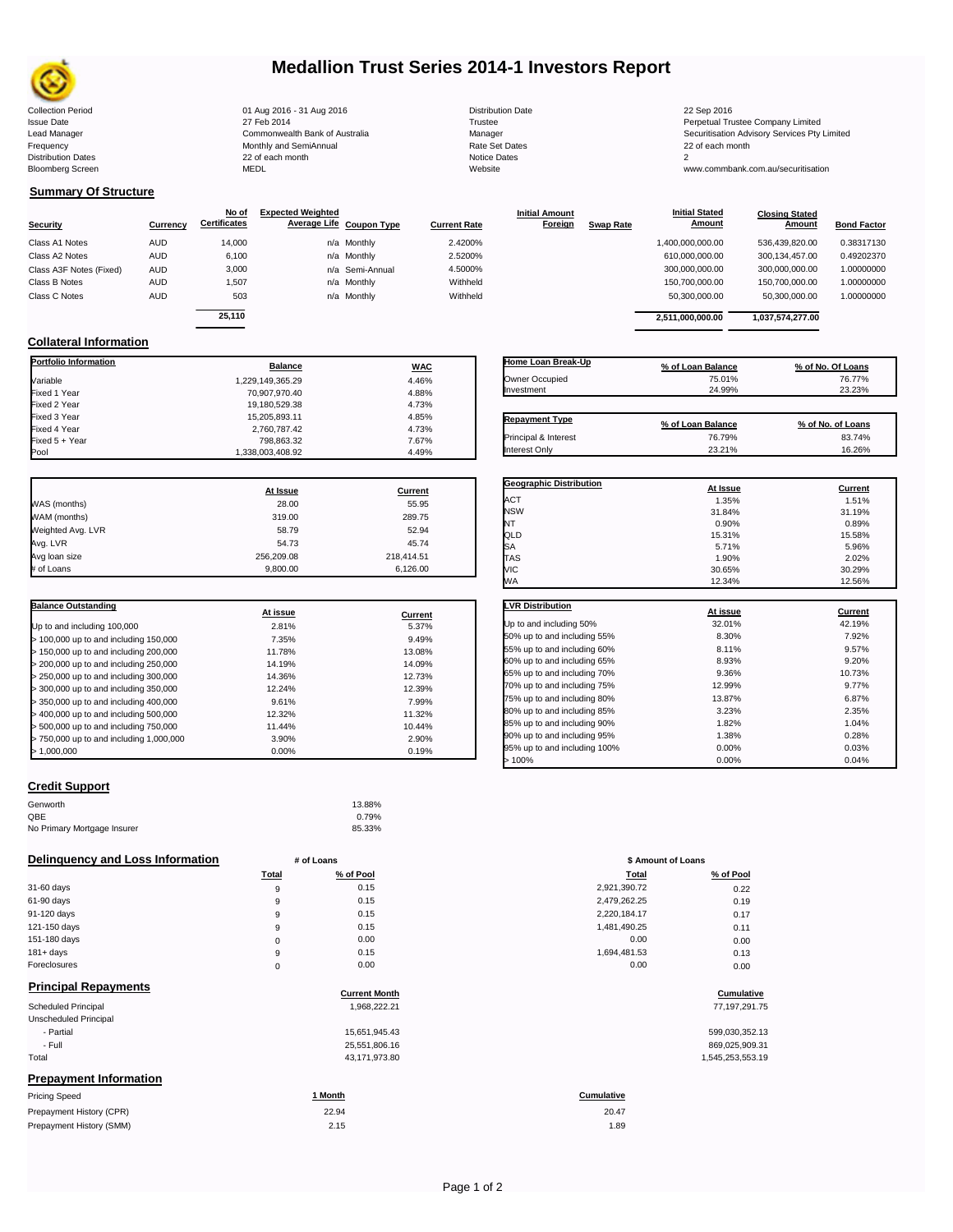

### **Medallion Trust Series 2014-1 Investors Report**

Collection Period 22 Sep 2016 01 Aug 2016 - 31 Aug 2016 2016 2016 Distribution Date 22 Sep 2016 22 Sep 2016 Issue Date 2014 27 Feb 2014 27 Feb 2014<br>1991 - Perpetual Trustee Company Limited Commonwealth Bank of Australia 2014<br>1992 - Manager 2014 - Manager Manager 2014 - Securitisation Advisory Services Pty Frequency Communication Communication Monthly and SemiAnnual Communication Communication Communication Communication Communication Communication Communication Communication Communication Communication Communication Communi Bloomberg Screen MEDL Website www.commbank.com.au/securitisation

n and the month of the contract of the contract of the contract of the contract of the contract of the contract of the contract of the contract of the contract of the contract of the contract of the contract of the contrac

| <b>Distribution Date</b> |
|--------------------------|
| Trustee                  |
| Manager                  |
| Rate Set Dates           |
| <b>Notice Dates</b>      |
| Website                  |

Lead Manager **Commonwealth Bank of Australia** Manager Manager Securitisation Advisory Services Pty Limited

**Closing Stated Amount**

### **Summary Of Structure**

**Collateral Information**

|                         |            | No of               | <b>Expected Weighted</b> |              | <b>Initial Amount</b> |                  | <b>Initial Stated</b> | <b>Closing Stated</b> |                    |
|-------------------------|------------|---------------------|--------------------------|--------------|-----------------------|------------------|-----------------------|-----------------------|--------------------|
| Security                | Currency   | <b>Certificates</b> | Average Life Coupon Type | Current Rate | Foreign               | <b>Swap Rate</b> | <b>Amount</b>         | Amount                | <b>Bond Factor</b> |
| Class A1 Notes          | <b>AUD</b> | 14.000              | n/a Monthly              | 2.4200%      |                       |                  | 1,400,000,000.00      | 536.439.820.00        | 0.38317130         |
| Class A2 Notes          | <b>AUD</b> | 6,100               | n/a Monthly              | 2.5200%      |                       |                  | 610,000,000.00        | 300.134.457.00        | 0.49202370         |
| Class A3F Notes (Fixed) | AUD        | 3,000               | n/a Semi-Annual          | 4.5000%      |                       |                  | 300,000,000.00        | 300,000,000.00        | 1.00000000         |
| Class B Notes           | AUD        | 1.507               | n/a Monthly              | Withheld     |                       |                  | 150,700,000.00        | 150.700.000.00        | 1.00000000         |
| Class C Notes           | AUD        | 503                 | n/a Monthly              | Withheld     |                       |                  | 50,300,000.00         | 50,300,000.00         | 1.00000000         |
|                         |            | 25.110              |                          |              |                       |                  | 2.511.000.000.00      | 1.037.574.277.00      |                    |
|                         |            |                     |                          |              |                       |                  |                       |                       |                    |

**Portfolio Information Balance WAC** Variable 1,229,149,365.29 4.46% Fixed 1 Year 70,907,970.40 4.88% Fixed 2 Year 19,180,529.38 4.73% Fixed 3 Year 15,205,893.11 4.85% Fixed 4 Year 2,760,787.42 4.73% Fixed 5 + Year 798,863.32 7.67%

| Home Loan Break-Up    | % of Loan Balance | % of No. Of Loans |
|-----------------------|-------------------|-------------------|
| Owner Occupied        | 75.01%            | 76.77%            |
| Investment            | 24.99%            | 23.23%            |
|                       |                   |                   |
| <b>Repayment Type</b> | % of Loan Balance | % of No. of Loans |
| Principal & Interest  | 76.79%            | 83.74%            |
| Interest Only         | 23.21%            | 16.26%            |

**Geographic Distribution**<br> **ACT ACT ACT ACT ACT ACT ACT ACT ACT ACT ACT ACT ACT ACT ACT ACT ACT ACT ACT ACT ACT ACT ACT ACT ACT ACT ACT ACT ACT ACT ACT** ACT 1.35% 1.51% NSW 31.84% 31.19% NT  $0.90\%$  0.89% 0.89%

**Initial Stated** 

|                   | At Issue   | <b>Current</b> |
|-------------------|------------|----------------|
| WAS (months)      | 28.00      | 55.95          |
| WAM (months)      | 319.00     | 289.75         |
| Weighted Avg. LVR | 58.79      | 52.94          |
| Avg. LVR          | 54.73      | 45.74          |
| Avg loan size     | 256.209.08 | 218.414.51     |
| # of Loans        | 9.800.00   | 6.126.00       |

1,338,003,408.92

| <b>Balance Outstanding</b>              | At issue | Current |
|-----------------------------------------|----------|---------|
| Up to and including 100,000             | 2.81%    | 5.37%   |
| $>$ 100,000 up to and including 150,000 | 7.35%    | 9.49%   |
| > 150,000 up to and including 200,000   | 11.78%   | 13.08%  |
| > 200,000 up to and including 250,000   | 14.19%   | 14.09%  |
| > 250,000 up to and including 300,000   | 14.36%   | 12.73%  |
| > 300,000 up to and including 350,000   | 12.24%   | 12.39%  |
| > 350,000 up to and including 400,000   | 9.61%    | 7.99%   |
| > 400,000 up to and including 500,000   | 12.32%   | 11.32%  |
| > 500,000 up to and including 750,000   | 11.44%   | 10.44%  |
| > 750,000 up to and including 1,000,000 | 3.90%    | 2.90%   |
| > 1.000.000                             | 0.00%    | 0.19%   |

| QLD                          | 15.31%   | 15.58%  |
|------------------------------|----------|---------|
| SA                           | 5.71%    | 5.96%   |
| <b>TAS</b>                   | 1.90%    | 2.02%   |
| VIC                          | 30.65%   | 30.29%  |
| WA                           | 12.34%   | 12.56%  |
| <b>LVR Distribution</b>      | At issue | Current |
| Up to and including 50%      | 32.01%   | 42.19%  |
| 50% up to and including 55%  | 8.30%    | 7.92%   |
| 55% up to and including 60%  | 8.11%    | 9.57%   |
| 60% up to and including 65%  | 8.93%    | 9.20%   |
| 65% up to and including 70%  | 9.36%    | 10.73%  |
| 70% up to and including 75%  | 12.99%   | 9.77%   |
| 75% up to and including 80%  | 13.87%   | 6.87%   |
| 80% up to and including 85%  | 3.23%    | 2.35%   |
| 85% up to and including 90%  | 1.82%    | 1.04%   |
| 90% up to and including 95%  | 1.38%    | 0.28%   |
| 05% up to and including 100% | በ በበ%    | በ በ3%   |

#### **Credit Support**

| Genworth                    | 13.88% |
|-----------------------------|--------|
| QBE                         | 0.79%  |
| No Primary Mortgage Insurer | 85.33% |

#### **Delinquency and Loss Information # of Loans**

|              | <b>Total</b> | % of Pool | Total        | % of Pool |
|--------------|--------------|-----------|--------------|-----------|
| 31-60 days   | 9            | 0.15      | 2,921,390.72 | 0.22      |
| 61-90 days   | 9            | 0.15      | 2,479,262.25 | 0.19      |
| 91-120 days  | 9            | 0.15      | 2,220,184.17 | 0.17      |
| 121-150 days | 9            | 0.15      | 1,481,490.25 | 0.11      |
| 151-180 days | 0            | 0.00      | 0.00         | 0.00      |
| $181 + days$ | 9            | 0.15      | 1.694.481.53 | 0.13      |
| Foreclosures | 0            | 0.00      | 0.00         | 0.00      |

| <b>Principal Repayments</b>   | <b>Current Month</b> | Cumulative        |
|-------------------------------|----------------------|-------------------|
| Scheduled Principal           | 1,968,222.21         | 77, 197, 291.75   |
| Unscheduled Principal         |                      |                   |
| - Partial                     | 15,651,945.43        | 599,030,352.13    |
| - Full                        | 25,551,806.16        | 869,025,909.31    |
| Total                         | 43,171,973.80        | 1,545,253,553.19  |
| <b>Prepayment Information</b> |                      |                   |
| <b>Pricing Speed</b>          | 1 Month              | <b>Cumulative</b> |
|                               |                      |                   |

| Prepayment History (CPR) | 22.94 | 20.47 |
|--------------------------|-------|-------|
| Prepayment History (SMM) | 2.15  | 1.89  |

| <b>IVVA</b>                  | $12.3 + 70$ | 12.5070 |
|------------------------------|-------------|---------|
|                              |             |         |
| <b>LVR Distribution</b>      | At issue    | Current |
| Up to and including 50%      | 32.01%      | 42.19%  |
| 50% up to and including 55%  | 8.30%       | 7.92%   |
| 55% up to and including 60%  | 8.11%       | 9.57%   |
| 60% up to and including 65%  | 8.93%       | 9.20%   |
| 65% up to and including 70%  | 9.36%       | 10.73%  |
| 70% up to and including 75%  | 12.99%      | 9.77%   |
| 75% up to and including 80%  | 13.87%      | 6.87%   |
| 80% up to and including 85%  | 3.23%       | 2.35%   |
| 85% up to and including 90%  | 1.82%       | 1.04%   |
| 90% up to and including 95%  | 1.38%       | 0.28%   |
| 95% up to and including 100% | 0.00%       | 0.03%   |
| >100%                        | 0.00%       | 0.04%   |

| # of Loans  |           | \$ Amount of Loans |           |
|-------------|-----------|--------------------|-----------|
| Total       | % of Pool | Total              | % of Pool |
| 9           | 0.15      | 2,921,390.72       | 0.22      |
| 9           | 0.15      | 2,479,262.25       | 0.19      |
| 9           | 0.15      | 2,220,184.17       | 0.17      |
| 9           | 0.15      | 1,481,490.25       | 0.11      |
| $\mathbf 0$ | 0.00      | 0.00               | 0.00      |
| 9           | 0.15      | 1,694,481.53       | 0.13      |
| 0           | 0.00      | 0.00               | 0.00      |
|             |           |                    |           |

## **Cumulative Cumulative**